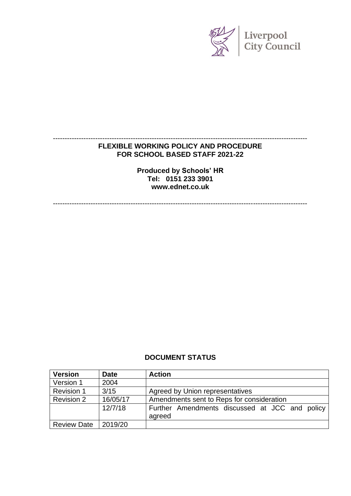

### **FLEXIBLE WORKING POLICY AND PROCEDURE FOR SCHOOL BASED STAFF 2021-22**

------------------------------------------------------------------------------------------------------------

**Produced by Schools' HR Tel: 0151 233 3901 www.ednet.co.uk**

------------------------------------------------------------------------------------------------------------

#### **DOCUMENT STATUS**

| <b>Version</b>     | <b>Date</b> | <b>Action</b>                                            |  |
|--------------------|-------------|----------------------------------------------------------|--|
| Version 1          | 2004        |                                                          |  |
| <b>Revision 1</b>  | 3/15        | Agreed by Union representatives                          |  |
| <b>Revision 2</b>  | 16/05/17    | Amendments sent to Reps for consideration                |  |
|                    | 12/7/18     | Further Amendments discussed at JCC and policy<br>agreed |  |
| <b>Review Date</b> | 2019/20     |                                                          |  |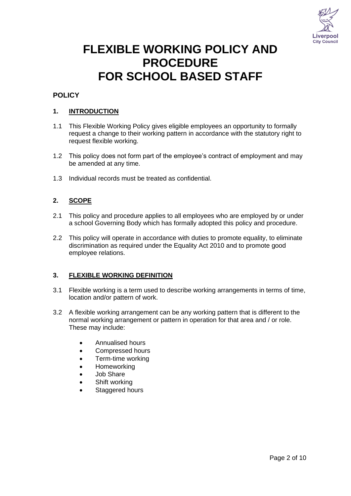

# **FLEXIBLE WORKING POLICY AND PROCEDURE FOR SCHOOL BASED STAFF**

#### **POLICY**

#### **1. INTRODUCTION**

- 1.1 This Flexible Working Policy gives eligible employees an opportunity to formally request a change to their working pattern in accordance with the statutory right to request flexible working.
- 1.2 This policy does not form part of the employee's contract of employment and may be amended at any time.
- 1.3 Individual records must be treated as confidential.

#### **2. SCOPE**

- 2.1 This policy and procedure applies to all employees who are employed by or under a school Governing Body which has formally adopted this policy and procedure.
- 2.2 This policy will operate in accordance with duties to promote equality, to eliminate discrimination as required under the Equality Act 2010 and to promote good employee relations.

#### **3. FLEXIBLE WORKING DEFINITION**

- 3.1 Flexible working is a term used to describe working arrangements in terms of time, location and/or pattern of work.
- 3.2 A flexible working arrangement can be any working pattern that is different to the normal working arrangement or pattern in operation for that area and / or role. These may include:
	- Annualised hours
	- Compressed hours
	- Term-time working
	- Homeworking
	- Job Share
	- Shift working
	- Staggered hours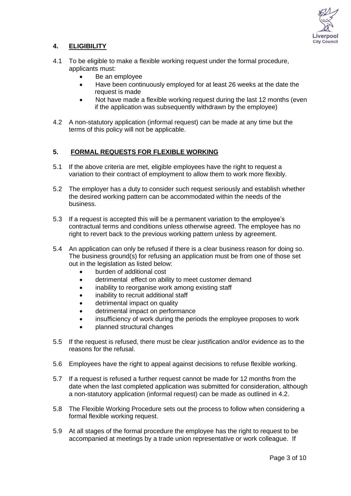

#### **4. ELIGIBILITY**

- 4.1 To be eligible to make a flexible working request under the formal procedure, applicants must:
	- Be an employee
	- Have been continuously employed for at least 26 weeks at the date the request is made
	- Not have made a flexible working request during the last 12 months (even if the application was subsequently withdrawn by the employee)
- 4.2 A non-statutory application (informal request) can be made at any time but the terms of this policy will not be applicable.

#### **5. FORMAL REQUESTS FOR FLEXIBLE WORKING**

- 5.1 If the above criteria are met, eligible employees have the right to request a variation to their contract of employment to allow them to work more flexibly.
- 5.2 The employer has a duty to consider such request seriously and establish whether the desired working pattern can be accommodated within the needs of the business.
- 5.3 If a request is accepted this will be a permanent variation to the employee's contractual terms and conditions unless otherwise agreed. The employee has no right to revert back to the previous working pattern unless by agreement.
- 5.4 An application can only be refused if there is a clear business reason for doing so. The business ground(s) for refusing an application must be from one of those set out in the legislation as listed below:
	- burden of additional cost
	- detrimental effect on ability to meet customer demand
	- inability to reorganise work among existing staff
	- inability to recruit additional staff
	- detrimental impact on quality
	- detrimental impact on performance
	- insufficiency of work during the periods the employee proposes to work
	- planned structural changes
- 5.5 If the request is refused, there must be clear justification and/or evidence as to the reasons for the refusal.
- 5.6 Employees have the right to appeal against decisions to refuse flexible working.
- 5.7 If a request is refused a further request cannot be made for 12 months from the date when the last completed application was submitted for consideration, although a non-statutory application (informal request) can be made as outlined in 4.2.
- 5.8 The Flexible Working Procedure sets out the process to follow when considering a formal flexible working request.
- 5.9 At all stages of the formal procedure the employee has the right to request to be accompanied at meetings by a trade union representative or work colleague. If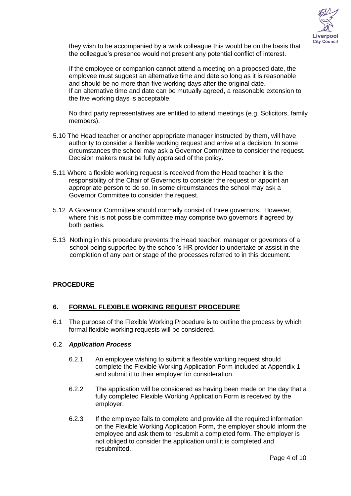

they wish to be accompanied by a work colleague this would be on the basis that the colleague's presence would not present any potential conflict of interest.

If the employee or companion cannot attend a meeting on a proposed date, the employee must suggest an alternative time and date so long as it is reasonable and should be no more than five working days after the original date. If an alternative time and date can be mutually agreed, a reasonable extension to the five working days is acceptable.

No third party representatives are entitled to attend meetings (e.g. Solicitors, family members).

- 5.10 The Head teacher or another appropriate manager instructed by them, will have authority to consider a flexible working request and arrive at a decision. In some circumstances the school may ask a Governor Committee to consider the request. Decision makers must be fully appraised of the policy.
- 5.11 Where a flexible working request is received from the Head teacher it is the responsibility of the Chair of Governors to consider the request or appoint an appropriate person to do so. In some circumstances the school may ask a Governor Committee to consider the request.
- 5.12 A Governor Committee should normally consist of three governors. However, where this is not possible committee may comprise two governors if agreed by both parties.
- 5.13 Nothing in this procedure prevents the Head teacher, manager or governors of a school being supported by the school's HR provider to undertake or assist in the completion of any part or stage of the processes referred to in this document*.*

#### **PROCEDURE**

#### **6. FORMAL FLEXIBLE WORKING REQUEST PROCEDURE**

6.1 The purpose of the Flexible Working Procedure is to outline the process by which formal flexible working requests will be considered.

#### 6.2 *Application Process*

- 6.2.1 An employee wishing to submit a flexible working request should complete the Flexible Working Application Form included at Appendix 1 and submit it to their employer for consideration.
- 6.2.2 The application will be considered as having been made on the day that a fully completed Flexible Working Application Form is received by the employer.
- 6.2.3 If the employee fails to complete and provide all the required information on the Flexible Working Application Form, the employer should inform the employee and ask them to resubmit a completed form. The employer is not obliged to consider the application until it is completed and resubmitted.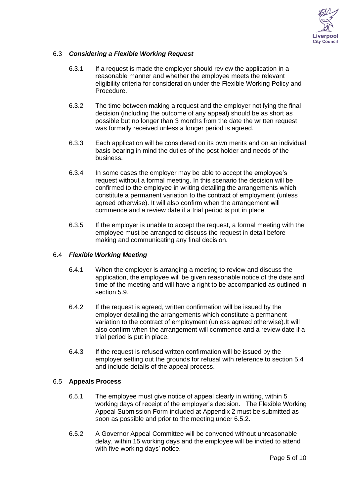

#### 6.3 *Considering a Flexible Working Request*

- 6.3.1 If a request is made the employer should review the application in a reasonable manner and whether the employee meets the relevant eligibility criteria for consideration under the Flexible Working Policy and Procedure.
- 6.3.2 The time between making a request and the employer notifying the final decision (including the outcome of any appeal) should be as short as possible but no longer than 3 months from the date the written request was formally received unless a longer period is agreed.
- 6.3.3 Each application will be considered on its own merits and on an individual basis bearing in mind the duties of the post holder and needs of the business.
- 6.3.4 In some cases the employer may be able to accept the employee's request without a formal meeting. In this scenario the decision will be confirmed to the employee in writing detailing the arrangements which constitute a permanent variation to the contract of employment (unless agreed otherwise). It will also confirm when the arrangement will commence and a review date if a trial period is put in place.
- 6.3.5 If the employer is unable to accept the request, a formal meeting with the employee must be arranged to discuss the request in detail before making and communicating any final decision.

#### 6.4 *Flexible Working Meeting*

- 6.4.1 When the employer is arranging a meeting to review and discuss the application, the employee will be given reasonable notice of the date and time of the meeting and will have a right to be accompanied as outlined in section 5.9.
- 6.4.2 If the request is agreed, written confirmation will be issued by the employer detailing the arrangements which constitute a permanent variation to the contract of employment (unless agreed otherwise).It will also confirm when the arrangement will commence and a review date if a trial period is put in place.
- 6.4.3 If the request is refused written confirmation will be issued by the employer setting out the grounds for refusal with reference to section 5.4 and include details of the appeal process.

#### 6.5 **Appeals Process**

- 6.5.1 The employee must give notice of appeal clearly in writing, within 5 working days of receipt of the employer's decision. The Flexible Working Appeal Submission Form included at Appendix 2 must be submitted as soon as possible and prior to the meeting under 6.5.2.
- 6.5.2 A Governor Appeal Committee will be convened without unreasonable delay, within 15 working days and the employee will be invited to attend with five working days' notice.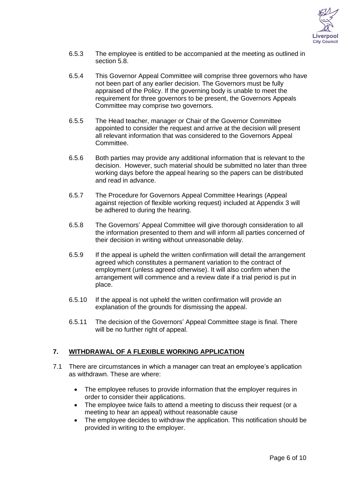

- 6.5.3 The employee is entitled to be accompanied at the meeting as outlined in section 5.8.
- 6.5.4 This Governor Appeal Committee will comprise three governors who have not been part of any earlier decision. The Governors must be fully appraised of the Policy. If the governing body is unable to meet the requirement for three governors to be present, the Governors Appeals Committee may comprise two governors.
- 6.5.5 The Head teacher, manager or Chair of the Governor Committee appointed to consider the request and arrive at the decision will present all relevant information that was considered to the Governors Appeal Committee.
- 6.5.6 Both parties may provide any additional information that is relevant to the decision. However, such material should be submitted no later than three working days before the appeal hearing so the papers can be distributed and read in advance.
- 6.5.7 The Procedure for Governors Appeal Committee Hearings (Appeal against rejection of flexible working request) included at Appendix 3 will be adhered to during the hearing.
- 6.5.8 The Governors' Appeal Committee will give thorough consideration to all the information presented to them and will inform all parties concerned of their decision in writing without unreasonable delay.
- 6.5.9 If the appeal is upheld the written confirmation will detail the arrangement agreed which constitutes a permanent variation to the contract of employment (unless agreed otherwise). It will also confirm when the arrangement will commence and a review date if a trial period is put in place.
- 6.5.10 If the appeal is not upheld the written confirmation will provide an explanation of the grounds for dismissing the appeal.
- 6.5.11 The decision of the Governors' Appeal Committee stage is final. There will be no further right of appeal.

#### **7. WITHDRAWAL OF A FLEXIBLE WORKING APPLICATION**

- 7.1 There are circumstances in which a manager can treat an employee's application as withdrawn. These are where:
	- The employee refuses to provide information that the employer requires in order to consider their applications.
	- The employee twice fails to attend a meeting to discuss their request (or a meeting to hear an appeal) without reasonable cause
	- The employee decides to withdraw the application. This notification should be provided in writing to the employer.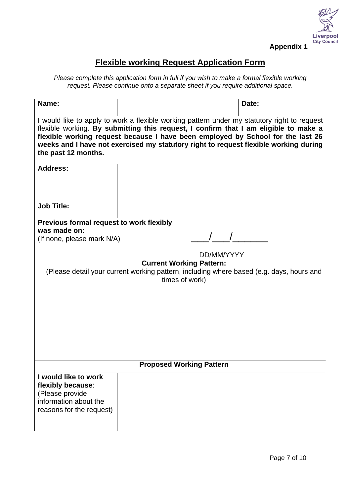

## **Flexible working Request Application Form**

*Please complete this application form in full if you wish to make a formal flexible working request. Please continue onto a separate sheet if you require additional space.*

| Name:                                                                                                                                                                                                                                                 |  |  | Date:                                                                                                                                                                                                                                                                                                                                                           |
|-------------------------------------------------------------------------------------------------------------------------------------------------------------------------------------------------------------------------------------------------------|--|--|-----------------------------------------------------------------------------------------------------------------------------------------------------------------------------------------------------------------------------------------------------------------------------------------------------------------------------------------------------------------|
| the past 12 months.                                                                                                                                                                                                                                   |  |  | I would like to apply to work a flexible working pattern under my statutory right to request<br>flexible working. By submitting this request, I confirm that I am eligible to make a<br>flexible working request because I have been employed by School for the last 26<br>weeks and I have not exercised my statutory right to request flexible working during |
| <b>Address:</b>                                                                                                                                                                                                                                       |  |  |                                                                                                                                                                                                                                                                                                                                                                 |
| <b>Job Title:</b>                                                                                                                                                                                                                                     |  |  |                                                                                                                                                                                                                                                                                                                                                                 |
| Previous formal request to work flexibly<br>was made on:<br>(If none, please mark N/A)<br>DD/MM/YYYY<br><b>Current Working Pattern:</b><br>(Please detail your current working pattern, including where based (e.g. days, hours and<br>times of work) |  |  |                                                                                                                                                                                                                                                                                                                                                                 |
| <b>Proposed Working Pattern</b>                                                                                                                                                                                                                       |  |  |                                                                                                                                                                                                                                                                                                                                                                 |
| I would like to work<br>flexibly because:<br>(Please provide<br>information about the<br>reasons for the request)                                                                                                                                     |  |  |                                                                                                                                                                                                                                                                                                                                                                 |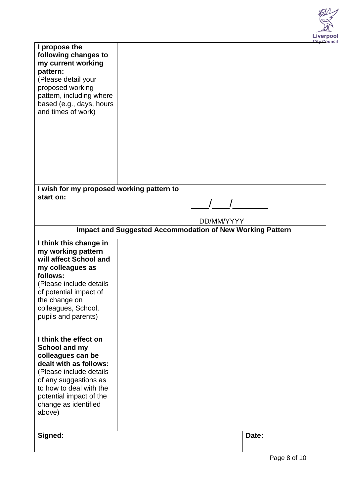

|                                                                                                                                                                                                  |                                                                  |            | City Co |
|--------------------------------------------------------------------------------------------------------------------------------------------------------------------------------------------------|------------------------------------------------------------------|------------|---------|
| I propose the<br>following changes to<br>my current working<br>pattern:<br>(Please detail your<br>proposed working<br>pattern, including where<br>based (e.g., days, hours<br>and times of work) |                                                                  |            |         |
|                                                                                                                                                                                                  | I wish for my proposed working pattern to                        |            |         |
| start on:                                                                                                                                                                                        |                                                                  |            |         |
|                                                                                                                                                                                                  |                                                                  |            |         |
|                                                                                                                                                                                                  |                                                                  |            |         |
|                                                                                                                                                                                                  |                                                                  | DD/MM/YYYY |         |
|                                                                                                                                                                                                  | <b>Impact and Suggested Accommodation of New Working Pattern</b> |            |         |
| I think this change in                                                                                                                                                                           |                                                                  |            |         |
| my working pattern<br>will affect School and                                                                                                                                                     |                                                                  |            |         |
| my colleagues as                                                                                                                                                                                 |                                                                  |            |         |
| follows:                                                                                                                                                                                         |                                                                  |            |         |
| (Please include details                                                                                                                                                                          |                                                                  |            |         |
| of potential impact of                                                                                                                                                                           |                                                                  |            |         |
| the change on                                                                                                                                                                                    |                                                                  |            |         |
| colleagues, School,                                                                                                                                                                              |                                                                  |            |         |
| pupils and parents)                                                                                                                                                                              |                                                                  |            |         |
|                                                                                                                                                                                                  |                                                                  |            |         |
| I think the effect on                                                                                                                                                                            |                                                                  |            |         |
| School and my                                                                                                                                                                                    |                                                                  |            |         |
| colleagues can be                                                                                                                                                                                |                                                                  |            |         |
| dealt with as follows:                                                                                                                                                                           |                                                                  |            |         |
| (Please include details                                                                                                                                                                          |                                                                  |            |         |
| of any suggestions as                                                                                                                                                                            |                                                                  |            |         |
| to how to deal with the                                                                                                                                                                          |                                                                  |            |         |
| potential impact of the                                                                                                                                                                          |                                                                  |            |         |
| change as identified<br>above)                                                                                                                                                                   |                                                                  |            |         |
|                                                                                                                                                                                                  |                                                                  |            |         |
|                                                                                                                                                                                                  |                                                                  |            |         |
| Signed:                                                                                                                                                                                          |                                                                  |            | Date:   |
|                                                                                                                                                                                                  |                                                                  |            |         |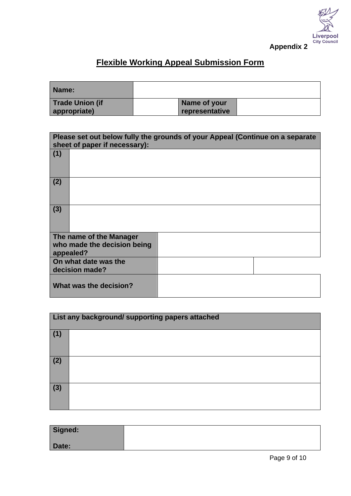

## **Flexible Working Appeal Submission Form**

| Name:           |                |  |
|-----------------|----------------|--|
| Trade Union (if | Name of your   |  |
| appropriate)    | representative |  |

| sheet of paper if necessary):                                       | Please set out below fully the grounds of your Appeal (Continue on a separate |
|---------------------------------------------------------------------|-------------------------------------------------------------------------------|
| (1)                                                                 |                                                                               |
| (2)                                                                 |                                                                               |
| (3)                                                                 |                                                                               |
| The name of the Manager<br>who made the decision being<br>appealed? |                                                                               |
| On what date was the<br>decision made?                              |                                                                               |
| What was the decision?                                              |                                                                               |

| List any background/ supporting papers attached |  |  |
|-------------------------------------------------|--|--|
| (1)                                             |  |  |
| (2)                                             |  |  |
| (3)                                             |  |  |

| Signed: |  |
|---------|--|
| Date:   |  |